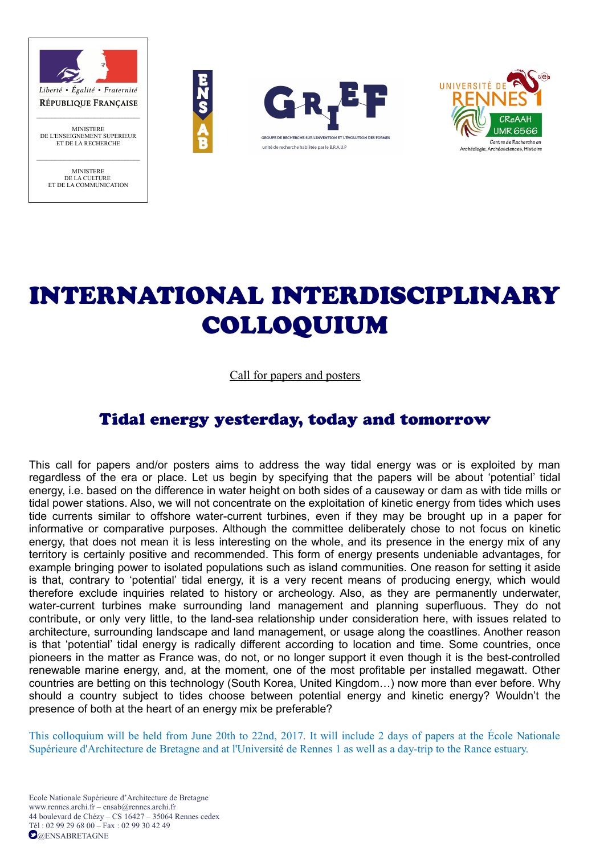

DE L'ENSEIGNEMENT SUPERIEUR ET DE LA RECHERCHE  $\mathcal{L}_\text{max}$ 

> MINISTERE DE LA CULTURE ET DE LA COMMUNICATION







# INTERNATIONAL INTERDISCIPLINARY COLLOQUIUM

#### Call for papers and posters

# Tidal energy yesterday, today and tomorrow

This call for papers and/or posters aims to address the way tidal energy was or is exploited by man regardless of the era or place. Let us begin by specifying that the papers will be about 'potential' tidal energy, i.e. based on the difference in water height on both sides of a causeway or dam as with tide mills or tidal power stations. Also, we will not concentrate on the exploitation of kinetic energy from tides which uses tide currents similar to offshore water-current turbines, even if they may be brought up in a paper for informative or comparative purposes. Although the committee deliberately chose to not focus on kinetic energy, that does not mean it is less interesting on the whole, and its presence in the energy mix of any territory is certainly positive and recommended. This form of energy presents undeniable advantages, for example bringing power to isolated populations such as island communities. One reason for setting it aside is that, contrary to 'potential' tidal energy, it is a very recent means of producing energy, which would therefore exclude inquiries related to history or archeology. Also, as they are permanently underwater, water-current turbines make surrounding land management and planning superfluous. They do not contribute, or only very little, to the land-sea relationship under consideration here, with issues related to architecture, surrounding landscape and land management, or usage along the coastlines. Another reason is that 'potential' tidal energy is radically different according to location and time. Some countries, once pioneers in the matter as France was, do not, or no longer support it even though it is the best-controlled renewable marine energy, and, at the moment, one of the most profitable per installed megawatt. Other countries are betting on this technology (South Korea, United Kingdom…) now more than ever before. Why should a country subject to tides choose between potential energy and kinetic energy? Wouldn't the presence of both at the heart of an energy mix be preferable?

This colloquium will be held from June 20th to 22nd, 2017. It will include 2 days of papers at the École Nationale Supérieure d'Architecture de Bretagne and at l'Université de Rennes 1 as well as a day-trip to the Rance estuary.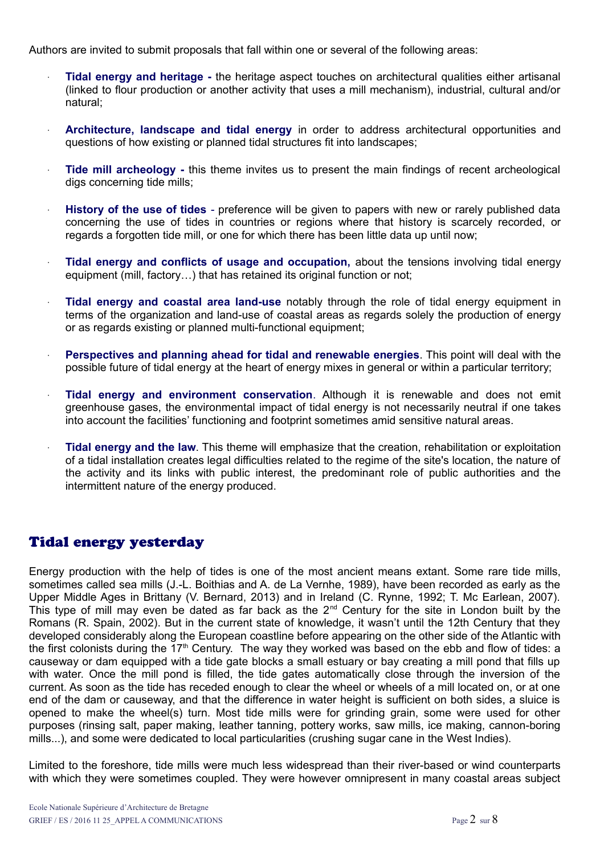Authors are invited to submit proposals that fall within one or several of the following areas:

- **Tidal energy and heritage -** the heritage aspect touches on architectural qualities either artisanal (linked to flour production or another activity that uses a mill mechanism), industrial, cultural and/or natural;
- **Architecture, landscape and tidal energy** in order to address architectural opportunities and questions of how existing or planned tidal structures fit into landscapes;
- **Tide mill archeology -** this theme invites us to present the main findings of recent archeological digs concerning tide mills;
- **History of the use of tides**  preference will be given to papers with new or rarely published data concerning the use of tides in countries or regions where that history is scarcely recorded, or regards a forgotten tide mill, or one for which there has been little data up until now;
- **Tidal energy and conflicts of usage and occupation,** about the tensions involving tidal energy equipment (mill, factory…) that has retained its original function or not;
- **Tidal energy and coastal area land-use** notably through the role of tidal energy equipment in terms of the organization and land-use of coastal areas as regards solely the production of energy or as regards existing or planned multi-functional equipment;
- **Perspectives and planning ahead for tidal and renewable energies**. This point will deal with the possible future of tidal energy at the heart of energy mixes in general or within a particular territory;
- **Tidal energy and environment conservation**. Although it is renewable and does not emit greenhouse gases, the environmental impact of tidal energy is not necessarily neutral if one takes into account the facilities' functioning and footprint sometimes amid sensitive natural areas.
- **Tidal energy and the law**. This theme will emphasize that the creation, rehabilitation or exploitation of a tidal installation creates legal difficulties related to the regime of the site's location, the nature of the activity and its links with public interest, the predominant role of public authorities and the intermittent nature of the energy produced.

# Tidal energy yesterday

Energy production with the help of tides is one of the most ancient means extant. Some rare tide mills, sometimes called sea mills (J.-L. Boithias and A. de La Vernhe, 1989), have been recorded as early as the Upper Middle Ages in Brittany (V. Bernard, 2013) and in Ireland (C. Rynne, 1992; T. Mc Earlean, 2007). This type of mill may even be dated as far back as the  $2^{nd}$  Century for the site in London built by the Romans (R. Spain, 2002). But in the current state of knowledge, it wasn't until the 12th Century that they developed considerably along the European coastline before appearing on the other side of the Atlantic with the first colonists during the  $17<sup>th</sup>$  Century. The way they worked was based on the ebb and flow of tides: a causeway or dam equipped with a tide gate blocks a small estuary or bay creating a mill pond that fills up with water. Once the mill pond is filled, the tide gates automatically close through the inversion of the current. As soon as the tide has receded enough to clear the wheel or wheels of a mill located on, or at one end of the dam or causeway, and that the difference in water height is sufficient on both sides, a sluice is opened to make the wheel(s) turn. Most tide mills were for grinding grain, some were used for other purposes (rinsing salt, paper making, leather tanning, pottery works, saw mills, ice making, cannon-boring mills...), and some were dedicated to local particularities (crushing sugar cane in the West Indies).

Limited to the foreshore, tide mills were much less widespread than their river-based or wind counterparts with which they were sometimes coupled. They were however omnipresent in many coastal areas subject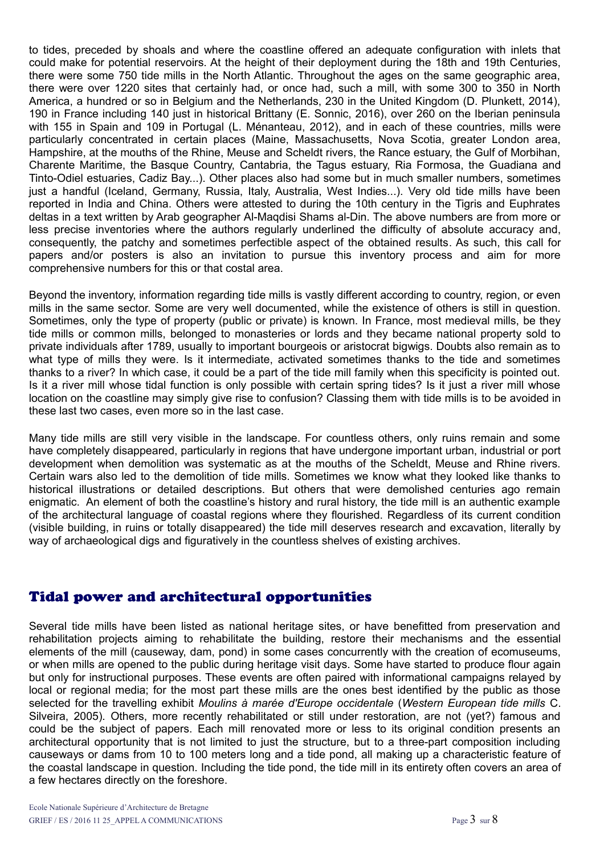to tides, preceded by shoals and where the coastline offered an adequate configuration with inlets that could make for potential reservoirs. At the height of their deployment during the 18th and 19th Centuries, there were some 750 tide mills in the North Atlantic. Throughout the ages on the same geographic area, there were over 1220 sites that certainly had, or once had, such a mill, with some 300 to 350 in North America, a hundred or so in Belgium and the Netherlands, 230 in the United Kingdom (D. Plunkett, 2014), 190 in France including 140 just in historical Brittany (E. Sonnic, 2016), over 260 on the Iberian peninsula with 155 in Spain and 109 in Portugal (L. Ménanteau, 2012), and in each of these countries, mills were particularly concentrated in certain places (Maine, Massachusetts, Nova Scotia, greater London area, Hampshire, at the mouths of the Rhine, Meuse and Scheldt rivers, the Rance estuary, the Gulf of Morbihan, Charente Maritime, the Basque Country, Cantabria, the Tagus estuary, Ria Formosa, the Guadiana and Tinto-Odiel estuaries, Cadiz Bay...). Other places also had some but in much smaller numbers, sometimes just a handful (Iceland, Germany, Russia, Italy, Australia, West Indies...). Very old tide mills have been reported in India and China. Others were attested to during the 10th century in the Tigris and Euphrates deltas in a text written by Arab geographer Al-Maqdisi Shams al-Din. The above numbers are from more or less precise inventories where the authors regularly underlined the difficulty of absolute accuracy and, consequently, the patchy and sometimes perfectible aspect of the obtained results. As such, this call for papers and/or posters is also an invitation to pursue this inventory process and aim for more comprehensive numbers for this or that costal area.

Beyond the inventory, information regarding tide mills is vastly different according to country, region, or even mills in the same sector. Some are very well documented, while the existence of others is still in question. Sometimes, only the type of property (public or private) is known. In France, most medieval mills, be they tide mills or common mills, belonged to monasteries or lords and they became national property sold to private individuals after 1789, usually to important bourgeois or aristocrat bigwigs. Doubts also remain as to what type of mills they were. Is it intermediate, activated sometimes thanks to the tide and sometimes thanks to a river? In which case, it could be a part of the tide mill family when this specificity is pointed out. Is it a river mill whose tidal function is only possible with certain spring tides? Is it just a river mill whose location on the coastline may simply give rise to confusion? Classing them with tide mills is to be avoided in these last two cases, even more so in the last case.

Many tide mills are still very visible in the landscape. For countless others, only ruins remain and some have completely disappeared, particularly in regions that have undergone important urban, industrial or port development when demolition was systematic as at the mouths of the Scheldt, Meuse and Rhine rivers. Certain wars also led to the demolition of tide mills. Sometimes we know what they looked like thanks to historical illustrations or detailed descriptions. But others that were demolished centuries ago remain enigmatic. An element of both the coastline's history and rural history, the tide mill is an authentic example of the architectural language of coastal regions where they flourished. Regardless of its current condition (visible building, in ruins or totally disappeared) the tide mill deserves research and excavation, literally by way of archaeological digs and figuratively in the countless shelves of existing archives.

# Tidal power and architectural opportunities

Several tide mills have been listed as national heritage sites, or have benefitted from preservation and rehabilitation projects aiming to rehabilitate the building, restore their mechanisms and the essential elements of the mill (causeway, dam, pond) in some cases concurrently with the creation of ecomuseums, or when mills are opened to the public during heritage visit days. Some have started to produce flour again but only for instructional purposes. These events are often paired with informational campaigns relayed by local or regional media; for the most part these mills are the ones best identified by the public as those selected for the travelling exhibit *Moulins à marée d'Europe occidentale* (*Western European tide mills* C. Silveira, 2005). Others, more recently rehabilitated or still under restoration, are not (yet?) famous and could be the subject of papers. Each mill renovated more or less to its original condition presents an architectural opportunity that is not limited to just the structure, but to a three-part composition including causeways or dams from 10 to 100 meters long and a tide pond, all making up a characteristic feature of the coastal landscape in question. Including the tide pond, the tide mill in its entirety often covers an area of a few hectares directly on the foreshore.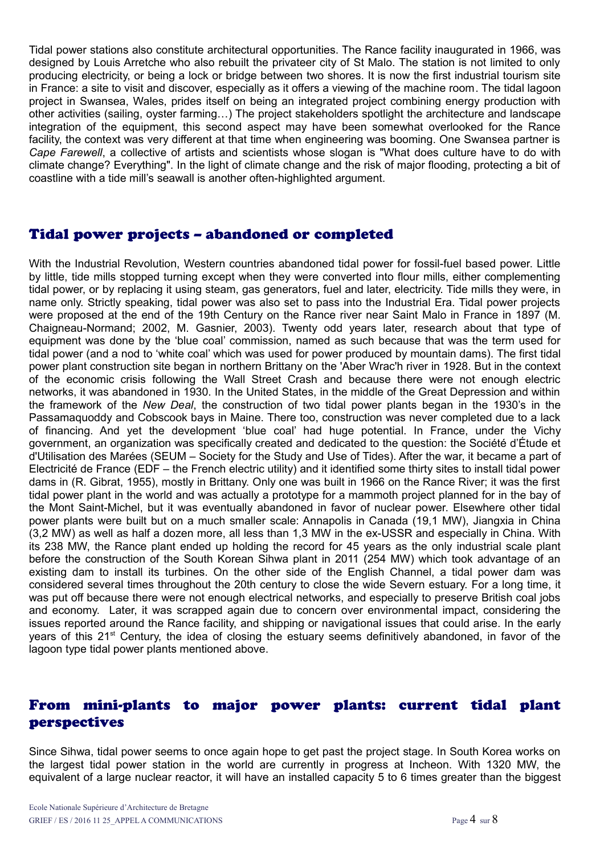Tidal power stations also constitute architectural opportunities. The Rance facility inaugurated in 1966, was designed by Louis Arretche who also rebuilt the privateer city of St Malo. The station is not limited to only producing electricity, or being a lock or bridge between two shores. It is now the first industrial tourism site in France: a site to visit and discover, especially as it offers a viewing of the machine room. The tidal lagoon project in Swansea, Wales, prides itself on being an integrated project combining energy production with other activities (sailing, oyster farming…) The project stakeholders spotlight the architecture and landscape integration of the equipment, this second aspect may have been somewhat overlooked for the Rance facility, the context was very different at that time when engineering was booming. One Swansea partner is *Cape Farewell*, a collective of artists and scientists whose slogan is "What does culture have to do with climate change? Everything". In the light of climate change and the risk of major flooding, protecting a bit of coastline with a tide mill's seawall is another often-highlighted argument.

# Tidal power projects – abandoned or completed

With the Industrial Revolution, Western countries abandoned tidal power for fossil-fuel based power. Little by little, tide mills stopped turning except when they were converted into flour mills, either complementing tidal power, or by replacing it using steam, gas generators, fuel and later, electricity. Tide mills they were, in name only. Strictly speaking, tidal power was also set to pass into the Industrial Era. Tidal power projects were proposed at the end of the 19th Century on the Rance river near Saint Malo in France in 1897 (M. Chaigneau-Normand; 2002, M. Gasnier, 2003). Twenty odd years later, research about that type of equipment was done by the 'blue coal' commission, named as such because that was the term used for tidal power (and a nod to 'white coal' which was used for power produced by mountain dams). The first tidal power plant construction site began in northern Brittany on the 'Aber Wrac'h river in 1928. But in the context of the economic crisis following the Wall Street Crash and because there were not enough electric networks, it was abandoned in 1930. In the United States, in the middle of the Great Depression and within the framework of the *New Deal*, the construction of two tidal power plants began in the 1930's in the Passamaquoddy and Cobscook bays in Maine. There too, construction was never completed due to a lack of financing. And yet the development 'blue coal' had huge potential. In France, under the Vichy government, an organization was specifically created and dedicated to the question: the Société d'Étude et d'Utilisation des Marées (SEUM – Society for the Study and Use of Tides). After the war, it became a part of Electricité de France (EDF – the French electric utility) and it identified some thirty sites to install tidal power dams in (R. Gibrat, 1955), mostly in Brittany. Only one was built in 1966 on the Rance River; it was the first tidal power plant in the world and was actually a prototype for a mammoth project planned for in the bay of the Mont Saint-Michel, but it was eventually abandoned in favor of nuclear power. Elsewhere other tidal power plants were built but on a much smaller scale: Annapolis in Canada (19,1 MW), Jiangxia in China (3,2 MW) as well as half a dozen more, all less than 1,3 MW in the ex-USSR and especially in China. With its 238 MW, the Rance plant ended up holding the record for 45 years as the only industrial scale plant before the construction of the South Korean Sihwa plant in 2011 (254 MW) which took advantage of an existing dam to install its turbines. On the other side of the English Channel, a tidal power dam was considered several times throughout the 20th century to close the wide Severn estuary. For a long time, it was put off because there were not enough electrical networks, and especially to preserve British coal jobs and economy. Later, it was scrapped again due to concern over environmental impact, considering the issues reported around the Rance facility, and shipping or navigational issues that could arise. In the early years of this 21<sup>st</sup> Century, the idea of closing the estuary seems definitively abandoned, in favor of the lagoon type tidal power plants mentioned above.

# From mini-plants to major power plants: current tidal plant perspectives

Since Sihwa, tidal power seems to once again hope to get past the project stage. In South Korea works on the largest tidal power station in the world are currently in progress at Incheon. With 1320 MW, the equivalent of a large nuclear reactor, it will have an installed capacity 5 to 6 times greater than the biggest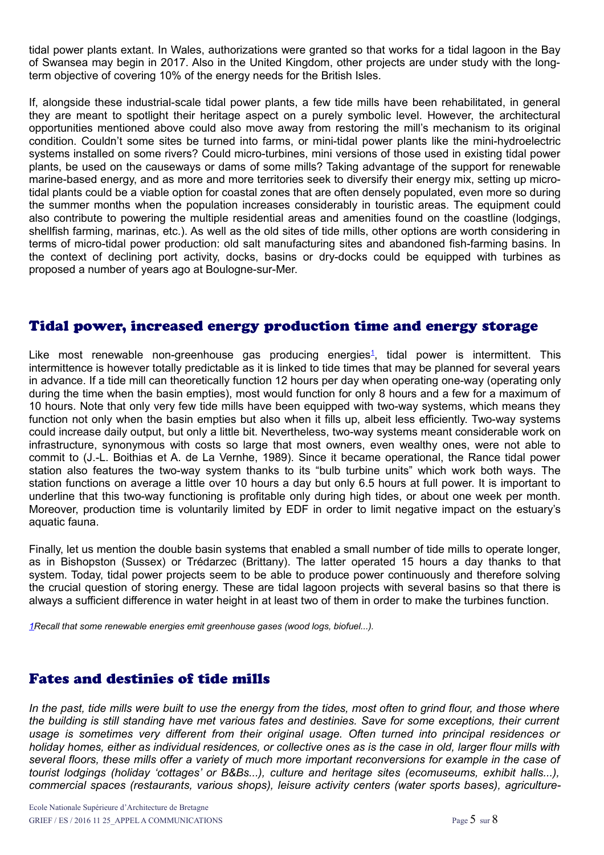tidal power plants extant. In Wales, authorizations were granted so that works for a tidal lagoon in the Bay of Swansea may begin in 2017. Also in the United Kingdom, other projects are under study with the longterm objective of covering 10% of the energy needs for the British Isles.

If, alongside these industrial-scale tidal power plants, a few tide mills have been rehabilitated, in general they are meant to spotlight their heritage aspect on a purely symbolic level. However, the architectural opportunities mentioned above could also move away from restoring the mill's mechanism to its original condition. Couldn't some sites be turned into farms, or mini-tidal power plants like the mini-hydroelectric systems installed on some rivers? Could micro-turbines, mini versions of those used in existing tidal power plants, be used on the causeways or dams of some mills? Taking advantage of the support for renewable marine-based energy, and as more and more territories seek to diversify their energy mix, setting up microtidal plants could be a viable option for coastal zones that are often densely populated, even more so during the summer months when the population increases considerably in touristic areas. The equipment could also contribute to powering the multiple residential areas and amenities found on the coastline (lodgings, shellfish farming, marinas, etc.). As well as the old sites of tide mills, other options are worth considering in terms of micro-tidal power production: old salt manufacturing sites and abandoned fish-farming basins. In the context of declining port activity, docks, basins or dry-docks could be equipped with turbines as proposed a number of years ago at Boulogne-sur-Mer.

#### Tidal power, increased energy production time and energy storage

<span id="page-4-1"></span>Like most renewable non-greenhouse gas producing energies<sup>[1](#page-4-1)</sup>, tidal power is intermittent. This intermittence is however totally predictable as it is linked to tide times that may be planned for several years in advance. If a tide mill can theoretically function 12 hours per day when operating one-way (operating only during the time when the basin empties), most would function for only 8 hours and a few for a maximum of 10 hours. Note that only very few tide mills have been equipped with two-way systems, which means they function not only when the basin empties but also when it fills up, albeit less efficiently. Two-way systems could increase daily output, but only a little bit. Nevertheless, two-way systems meant considerable work on infrastructure, synonymous with costs so large that most owners, even wealthy ones, were not able to commit to (J.-L. Boithias et A. de La Vernhe, 1989). Since it became operational, the Rance tidal power station also features the two-way system thanks to its "bulb turbine units" which work both ways. The station functions on average a little over 10 hours a day but only 6.5 hours at full power. It is important to underline that this two-way functioning is profitable only during high tides, or about one week per month. Moreover, production time is voluntarily limited by EDF in order to limit negative impact on the estuary's aquatic fauna.

Finally, let us mention the double basin systems that enabled a small number of tide mills to operate longer, as in Bishopston (Sussex) or Trédarzec (Brittany). The latter operated 15 hours a day thanks to that system. Today, tidal power projects seem to be able to produce power continuously and therefore solving the crucial question of storing energy. These are tidal lagoon projects with several basins so that there is always a sufficient difference in water height in at least two of them in order to make the turbines function.

<span id="page-4-0"></span>*[1R](#page-4-0)ecall that some renewable energies emit greenhouse gases (wood logs, biofuel...).*

# Fates and destinies of tide mills

*In the past, tide mills were built to use the energy from the tides, most often to grind flour, and those where the building is still standing have met various fates and destinies. Save for some exceptions, their current usage is sometimes very different from their original usage. Often turned into principal residences or holiday homes, either as individual residences, or collective ones as is the case in old, larger flour mills with several floors, these mills offer a variety of much more important reconversions for example in the case of tourist lodgings (holiday 'cottages' or B&Bs...), culture and heritage sites (ecomuseums, exhibit halls...), commercial spaces (restaurants, various shops), leisure activity centers (water sports bases), agriculture-*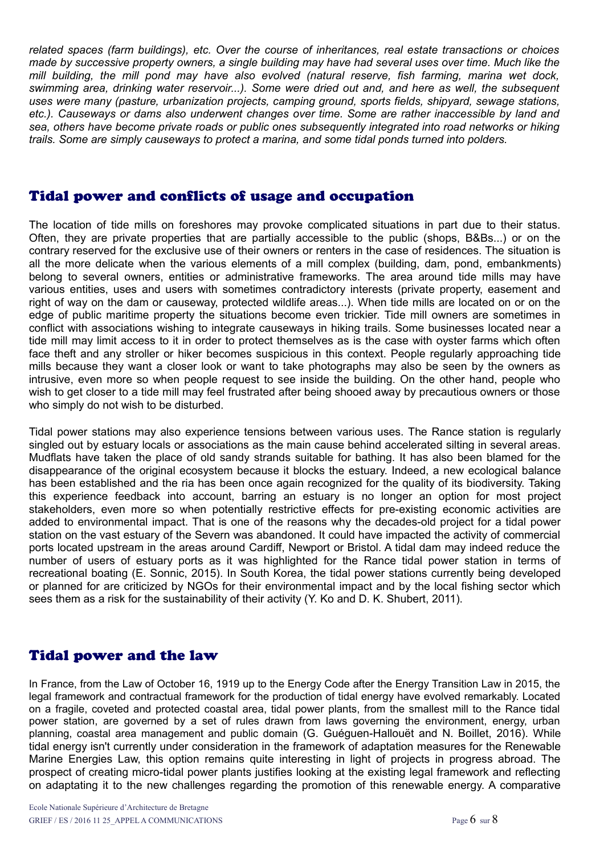*related spaces (farm buildings), etc. Over the course of inheritances, real estate transactions or choices made by successive property owners, a single building may have had several uses over time. Much like the mill building, the mill pond may have also evolved (natural reserve, fish farming, marina wet dock, swimming area, drinking water reservoir...). Some were dried out and, and here as well, the subsequent uses were many (pasture, urbanization projects, camping ground, sports fields, shipyard, sewage stations, etc.). Causeways or dams also underwent changes over time. Some are rather inaccessible by land and sea, others have become private roads or public ones subsequently integrated into road networks or hiking trails. Some are simply causeways to protect a marina, and some tidal ponds turned into polders.*

#### Tidal power and conflicts of usage and occupation

The location of tide mills on foreshores may provoke complicated situations in part due to their status. Often, they are private properties that are partially accessible to the public (shops, B&Bs...) or on the contrary reserved for the exclusive use of their owners or renters in the case of residences. The situation is all the more delicate when the various elements of a mill complex (building, dam, pond, embankments) belong to several owners, entities or administrative frameworks. The area around tide mills may have various entities, uses and users with sometimes contradictory interests (private property, easement and right of way on the dam or causeway, protected wildlife areas...). When tide mills are located on or on the edge of public maritime property the situations become even trickier. Tide mill owners are sometimes in conflict with associations wishing to integrate causeways in hiking trails. Some businesses located near a tide mill may limit access to it in order to protect themselves as is the case with oyster farms which often face theft and any stroller or hiker becomes suspicious in this context. People regularly approaching tide mills because they want a closer look or want to take photographs may also be seen by the owners as intrusive, even more so when people request to see inside the building. On the other hand, people who wish to get closer to a tide mill may feel frustrated after being shooed away by precautious owners or those who simply do not wish to be disturbed.

Tidal power stations may also experience tensions between various uses. The Rance station is regularly singled out by estuary locals or associations as the main cause behind accelerated silting in several areas. Mudflats have taken the place of old sandy strands suitable for bathing. It has also been blamed for the disappearance of the original ecosystem because it blocks the estuary. Indeed, a new ecological balance has been established and the ria has been once again recognized for the quality of its biodiversity. Taking this experience feedback into account, barring an estuary is no longer an option for most project stakeholders, even more so when potentially restrictive effects for pre-existing economic activities are added to environmental impact. That is one of the reasons why the decades-old project for a tidal power station on the vast estuary of the Severn was abandoned. It could have impacted the activity of commercial ports located upstream in the areas around Cardiff, Newport or Bristol. A tidal dam may indeed reduce the number of users of estuary ports as it was highlighted for the Rance tidal power station in terms of recreational boating (E. Sonnic, 2015). In South Korea, the tidal power stations currently being developed or planned for are criticized by NGOs for their environmental impact and by the local fishing sector which sees them as a risk for the sustainability of their activity (Y. Ko and D. K. Shubert, 2011).

# Tidal power and the law

In France, from the Law of October 16, 1919 up to the Energy Code after the Energy Transition Law in 2015, the legal framework and contractual framework for the production of tidal energy have evolved remarkably. Located on a fragile, coveted and protected coastal area, tidal power plants, from the smallest mill to the Rance tidal power station, are governed by a set of rules drawn from laws governing the environment, energy, urban planning, coastal area management and public domain (G. Guéguen-Hallouët and N. Boillet, 2016). While tidal energy isn't currently under consideration in the framework of adaptation measures for the Renewable Marine Energies Law, this option remains quite interesting in light of projects in progress abroad. The prospect of creating micro-tidal power plants justifies looking at the existing legal framework and reflecting on adaptating it to the new challenges regarding the promotion of this renewable energy. A comparative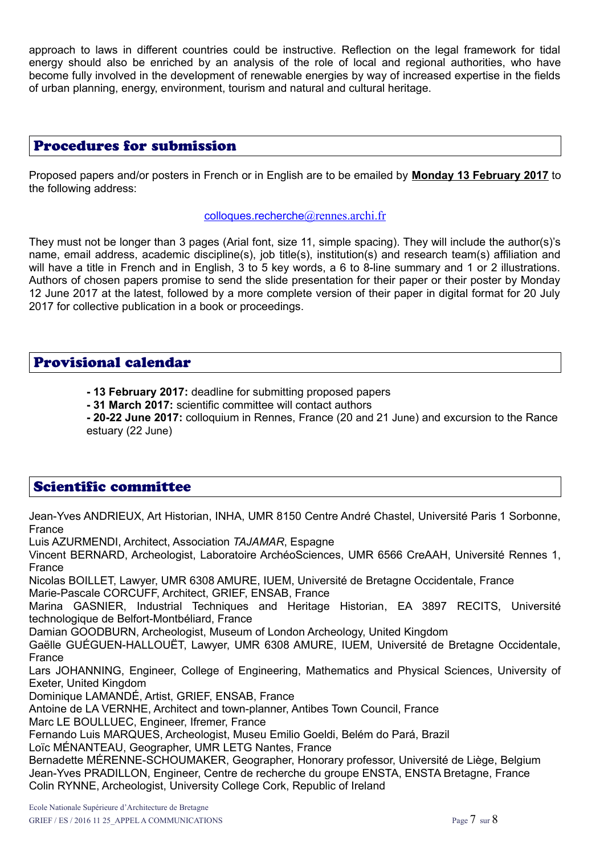approach to laws in different countries could be instructive. Reflection on the legal framework for tidal energy should also be enriched by an analysis of the role of local and regional authorities, who have become fully involved in the development of renewable energies by way of increased expertise in the fields of urban planning, energy, environment, tourism and natural and cultural heritage.

#### Procedures for submission

Proposed papers and/or posters in French or in English are to be emailed by **Monday 13 February 2017** to the following address:

#### $colloques.recherche @rennes.archive$  $colloques.recherche @rennes.archive$  $colloques.recherche @rennes.archive$  $colloques.recherche @rennes.archive$

They must not be longer than 3 pages (Arial font, size 11, simple spacing). They will include the author(s)'s name, email address, academic discipline(s), job title(s), institution(s) and research team(s) affiliation and will have a title in French and in English, 3 to 5 key words, a 6 to 8-line summary and 1 or 2 illustrations. Authors of chosen papers promise to send the slide presentation for their paper or their poster by Monday 12 June 2017 at the latest, followed by a more complete version of their paper in digital format for 20 July 2017 for collective publication in a book or proceedings.

#### Provisional calendar

- **13 February 2017:** deadline for submitting proposed papers
- **31 March 2017:** scientific committee will contact authors

**- 20-22 June 2017:** colloquium in Rennes, France (20 and 21 June) and excursion to the Rance estuary (22 June)

# Scientific committee

Jean-Yves ANDRIEUX, Art Historian, INHA, UMR 8150 Centre André Chastel, Université Paris 1 Sorbonne, France Luis AZURMENDI, Architect, Association *TAJAMAR*, Espagne Vincent BERNARD, Archeologist, Laboratoire ArchéoSciences, UMR 6566 CreAAH, Université Rennes 1, France Nicolas BOILLET, Lawyer, UMR 6308 AMURE, IUEM, Université de Bretagne Occidentale, France Marie-Pascale CORCUFF, Architect, GRIEF, ENSAB, France Marina GASNIER, Industrial Techniques and Heritage Historian, EA 3897 RECITS, Université technologique de Belfort-Montbéliard, France Damian GOODBURN, Archeologist, Museum of London Archeology, United Kingdom Gaëlle GUÉGUEN-HALLOUËT, Lawyer, UMR 6308 AMURE, IUEM, Université de Bretagne Occidentale, France Lars JOHANNING, Engineer, College of Engineering, Mathematics and Physical Sciences, University of Exeter, United Kingdom Dominique LAMANDÉ, Artist, GRIEF, ENSAB, France Antoine de LA VERNHE, Architect and town-planner, Antibes Town Council, France Marc LE BOULLUEC, Engineer, Ifremer, France Fernando Luis MARQUES, Archeologist, Museu Emilio Goeldi, Belém do Pará, Brazil Loïc MÉNANTEAU, Geographer, UMR LETG Nantes, France Bernadette MÉRENNE-SCHOUMAKER, Geographer, Honorary professor, Université de Liège, Belgium Jean-Yves PRADILLON, Engineer, Centre de recherche du groupe ENSTA, ENSTA Bretagne, France Colin RYNNE, Archeologist, University College Cork, Republic of Ireland